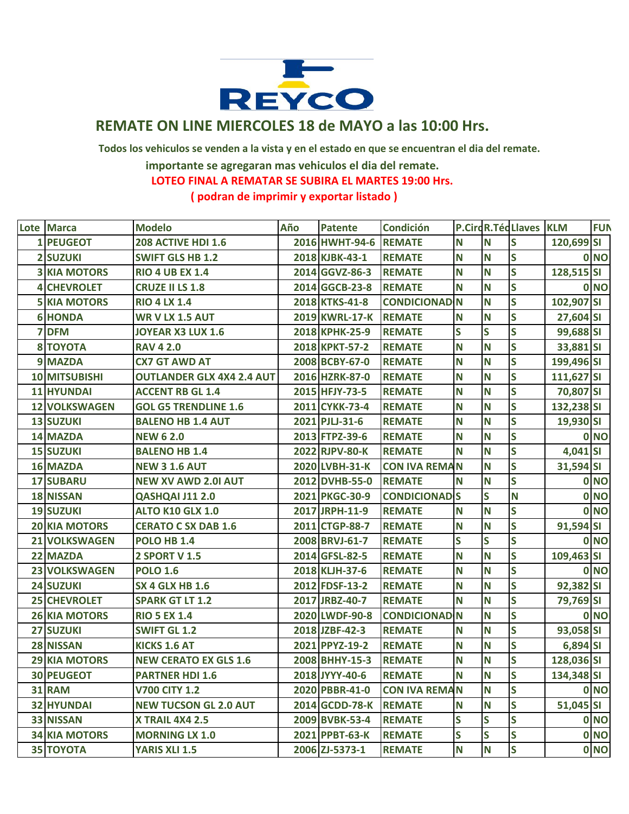

## **REMATE ON LINE MIERCOLES 18 de MAYO a las 10:00 Hrs.**

 **Todos los vehiculos se venden a la vista y en el estado en que se encuentran el dia del remate.**

 **importante se agregaran mas vehiculos el dia del remate.**

 **LOTEO FINAL A REMATAR SE SUBIRA EL MARTES 19:00 Hrs.**

 **( podran de imprimir y exportar listado )**

|   | Lote Marca           | <b>Modelo</b>                    | Año | <b>Patente</b> | <b>Condición</b>     |              |                         | <b>P.CircR.TécLlaves KLM</b> |            | <b>FUN</b>      |
|---|----------------------|----------------------------------|-----|----------------|----------------------|--------------|-------------------------|------------------------------|------------|-----------------|
|   | 1 PEUGEOT            | 208 ACTIVE HDI 1.6               |     | 2016 HWHT-94-6 | <b>REMATE</b>        | N            | N                       | <b>S</b>                     | 120,699 SI |                 |
|   | <b>2 SUZUKI</b>      | <b>SWIFT GLS HB 1.2</b>          |     | 2018 KJBK-43-1 | <b>REMATE</b>        | N            | N                       | S                            |            | 0 <sub>NO</sub> |
|   | <b>3 KIA MOTORS</b>  | <b>RIO 4 UB EX 1.4</b>           |     | 2014 GGVZ-86-3 | <b>REMATE</b>        | N            | N                       | S                            | 128,515 SI |                 |
| 4 | <b>CHEVROLET</b>     | <b>CRUZE II LS 1.8</b>           |     | 2014 GGCB-23-8 | <b>REMATE</b>        | N            | N                       | $\overline{\mathsf{s}}$      |            | 0 <sub>NO</sub> |
|   | <b>5 KIA MOTORS</b>  | <b>RIO 4 LX 1.4</b>              |     | 2018 KTKS-41-8 | <b>CONDICIONAD N</b> |              | N                       | $\overline{\mathsf{s}}$      | 102,907 SI |                 |
|   | <b>6 HONDA</b>       | <b>WR V LX 1.5 AUT</b>           |     | 2019 KWRL-17-K | <b>REMATE</b>        | N            | N                       | S                            | 27,604 SI  |                 |
| 7 | <b>DFM</b>           | <b>JOYEAR X3 LUX 1.6</b>         |     | 2018 KPHK-25-9 | <b>REMATE</b>        | S            | $\overline{\mathsf{s}}$ | S                            | 99,688 SI  |                 |
|   | <b>8 TOYOTA</b>      | <b>RAV 4 2.0</b>                 |     | 2018 KPKT-57-2 | <b>REMATE</b>        | N            | N                       | $\overline{\mathsf{s}}$      | 33,881 SI  |                 |
|   | 9 MAZDA              | <b>CX7 GT AWD AT</b>             |     | 2008 BCBY-67-0 | <b>REMATE</b>        | N            | N                       | S                            | 199,496 SI |                 |
|   | <b>10 MITSUBISHI</b> | <b>OUTLANDER GLX 4X4 2.4 AUT</b> |     | 2016 HZRK-87-0 | <b>REMATE</b>        | $\mathbf N$  | N                       | S                            | 111,627 SI |                 |
|   | <b>11 HYUNDAI</b>    | <b>ACCENT RB GL 1.4</b>          |     | 2015 HFJY-73-5 | <b>REMATE</b>        | N            | N                       | $\overline{\mathbf{s}}$      | 70,807 SI  |                 |
|   | <b>12 VOLKSWAGEN</b> | <b>GOL G5 TRENDLINE 1.6</b>      |     | 2011 CYKK-73-4 | <b>REMATE</b>        | N            | N                       | $\overline{\mathsf{s}}$      | 132,238 SI |                 |
|   | <b>13 SUZUKI</b>     | <b>BALENO HB 1.4 AUT</b>         |     | 2021 PJLJ-31-6 | <b>REMATE</b>        | N            | N                       | $\overline{\mathsf{s}}$      | 19,930 SI  |                 |
|   | 14 MAZDA             | <b>NEW 62.0</b>                  |     | 2013 FTPZ-39-6 | <b>REMATE</b>        | N            | N                       | S                            |            | 0 NO            |
|   | <b>15 SUZUKI</b>     | <b>BALENO HB 1.4</b>             |     | 2022 RJPV-80-K | <b>REMATE</b>        | N            | N                       | S                            | 4,041 SI   |                 |
|   | <b>16 MAZDA</b>      | <b>NEW 3 1.6 AUT</b>             |     | 2020 LVBH-31-K | <b>CON IVA REMAN</b> |              | N                       | S                            | 31,594 SI  |                 |
|   | <b>17 SUBARU</b>     | <b>NEW XV AWD 2.0I AUT</b>       |     | 2012 DVHB-55-0 | <b>REMATE</b>        | N            | N                       | $\overline{\mathsf{s}}$      |            | 0 NO            |
|   | <b>18 NISSAN</b>     | QASHQAI J11 2.0                  |     | 2021 PKGC-30-9 | <b>CONDICIONAD S</b> |              | $\overline{\mathbf{s}}$ | <b>N</b>                     |            | 0 <sub>NO</sub> |
|   | <b>19 SUZUKI</b>     | <b>ALTO K10 GLX 1.0</b>          |     | 2017 JRPH-11-9 | <b>REMATE</b>        | N            | N                       | S                            |            | 0 <sub>NO</sub> |
|   | <b>20 KIA MOTORS</b> | <b>CERATO C SX DAB 1.6</b>       |     | 2011 CTGP-88-7 | <b>REMATE</b>        | N            | N                       | S                            | 91,594 SI  |                 |
|   | <b>21 VOLKSWAGEN</b> | <b>POLO HB 1.4</b>               |     | 2008 BRVJ-61-7 | <b>REMATE</b>        | S            | S                       | $\overline{\mathsf{s}}$      |            | 0 <sub>NO</sub> |
|   | 22 MAZDA             | <b>2 SPORT V 1.5</b>             |     | 2014 GFSL-82-5 | <b>REMATE</b>        | N            | N                       | S                            | 109,463 SI |                 |
|   | <b>23 VOLKSWAGEN</b> | <b>POLO 1.6</b>                  |     | 2018 KLJH-37-6 | <b>REMATE</b>        | N            | N                       | S                            |            | 0 <sub>NO</sub> |
|   | 24 SUZUKI            | <b>SX 4 GLX HB 1.6</b>           |     | 2012 FDSF-13-2 | <b>REMATE</b>        | N            | N                       | $\overline{\mathsf{s}}$      | 92,382 SI  |                 |
|   | <b>25 CHEVROLET</b>  | <b>SPARK GT LT 1.2</b>           |     | 2017 JRBZ-40-7 | <b>REMATE</b>        | N            | N                       | S                            | 79,769 SI  |                 |
|   | <b>26 KIA MOTORS</b> | <b>RIO 5 EX 1.4</b>              |     | 2020 LWDF-90-8 | <b>CONDICIONAD N</b> |              | N                       | S                            |            | 0 <sub>NO</sub> |
|   | <b>27 SUZUKI</b>     | <b>SWIFT GL 1.2</b>              |     | 2018 JZBF-42-3 | <b>REMATE</b>        | N            | N                       | S                            | 93,058 SI  |                 |
|   | 28 NISSAN            | <b>KICKS 1.6 AT</b>              |     | 2021 PPYZ-19-2 | <b>REMATE</b>        | N            | N                       | S                            | 6,894 SI   |                 |
|   | <b>29 KIA MOTORS</b> | <b>NEW CERATO EX GLS 1.6</b>     |     | 2008 BHHY-15-3 | <b>REMATE</b>        | N            | N                       | S                            | 128,036 SI |                 |
|   | <b>30 PEUGEOT</b>    | <b>PARTNER HDI 1.6</b>           |     | 2018 JYYY-40-6 | <b>REMATE</b>        | N            | N                       | $\overline{\mathsf{s}}$      | 134,348 SI |                 |
|   | <b>31 RAM</b>        | <b>V700 CITY 1.2</b>             |     | 2020 PBBR-41-0 | <b>CON IVA REMAN</b> |              | N                       | S                            |            | 0 NO            |
|   | <b>32 HYUNDAI</b>    | <b>NEW TUCSON GL 2.0 AUT</b>     |     | 2014 GCDD-78-K | <b>REMATE</b>        | N            | N                       | S                            | 51,045 SI  |                 |
|   | <b>33 NISSAN</b>     | <b>X TRAIL 4X4 2.5</b>           |     | 2009 BVBK-53-4 | <b>REMATE</b>        | S            | S                       | S                            |            | 0 NO            |
|   | <b>34 KIA MOTORS</b> | <b>MORNING LX 1.0</b>            |     | 2021 PPBT-63-K | <b>REMATE</b>        | S            | S                       | S                            |            | 0 NO            |
|   | <b>35 TOYOTA</b>     | <b>YARIS XLI 1.5</b>             |     | 2006 ZJ-5373-1 | <b>REMATE</b>        | $\mathsf{N}$ | N                       | S                            |            | 0 NO            |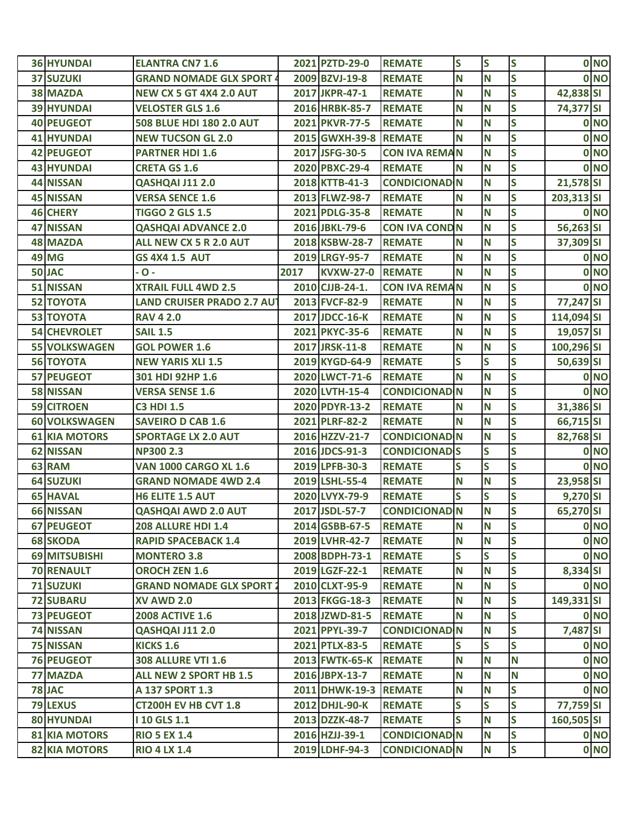| <b>36 HYUNDAI</b>    | <b>ELANTRA CN7 1.6</b>            |      | 2021 PZTD-29-0        | <b>REMATE</b>         | S            | S | S                       |            | 0 NO |
|----------------------|-----------------------------------|------|-----------------------|-----------------------|--------------|---|-------------------------|------------|------|
| <b>37 SUZUKI</b>     | <b>GRAND NOMADE GLX SPORT 4</b>   |      | 2009 BZVJ-19-8        | <b>REMATE</b>         | N            | Ν | S                       |            | 0 NO |
| <b>38 MAZDA</b>      | <b>NEW CX 5 GT 4X4 2.0 AUT</b>    |      | 2017 JKPR-47-1        | <b>REMATE</b>         | N            | Ν | S                       | 42,838 SI  |      |
| <b>39 HYUNDAI</b>    | <b>VELOSTER GLS 1.6</b>           |      | 2016 HRBK-85-7        | <b>REMATE</b>         | N            | N | S                       | 74,377 SI  |      |
| <b>40 PEUGEOT</b>    | 508 BLUE HDI 180 2.0 AUT          |      | 2021 PKVR-77-5        | <b>REMATE</b>         | N            | N | S                       |            | 0 NO |
| <b>41 HYUNDAI</b>    | <b>NEW TUCSON GL 2.0</b>          |      | 2015 GWXH-39-8 REMATE |                       | N            | Ν | $\mathsf{s}$            |            | 0 NO |
| 42 PEUGEOT           | <b>PARTNER HDI 1.6</b>            |      | 2017 JSFG-30-5        | <b>CON IVA REMAN</b>  |              | N | S                       |            | 0 NO |
| <b>43 HYUNDAI</b>    | <b>CRETA GS 1.6</b>               |      | 2020 PBXC-29-4        | <b>REMATE</b>         | N            | Ν | S                       |            | 0 NO |
| <b>44 NISSAN</b>     | QASHQAI J11 2.0                   |      | 2018 KTTB-41-3        | <b>CONDICIONAD N</b>  |              | Ν | S                       | 21,578 SI  |      |
| <b>45 NISSAN</b>     | <b>VERSA SENCE 1.6</b>            |      | 2013 FLWZ-98-7        | <b>REMATE</b>         | N            | N | S                       | 203,313 SI |      |
| <b>46 CHERY</b>      | <b>TIGGO 2 GLS 1.5</b>            |      | 2021 PDLG-35-8        | <b>REMATE</b>         | N            | N | S                       |            | 0 NO |
| <b>47 NISSAN</b>     | <b>QASHQAI ADVANCE 2.0</b>        |      | 2016 JBKL-79-6        | <b>CON IVA COND N</b> |              | N | S                       | 56,263 SI  |      |
| <b>48 MAZDA</b>      | ALL NEW CX 5 R 2.0 AUT            |      | 2018 KSBW-28-7        | <b>REMATE</b>         | N            | Ν | S                       | 37,309 SI  |      |
| <b>49 MG</b>         | <b>GS 4X4 1.5 AUT</b>             |      | 2019 LRGY-95-7        | <b>REMATE</b>         | N            | Ν | S                       |            | 0 NO |
| 50 JAC               | - 0 -                             | 2017 | <b>KVXW-27-0</b>      | <b>REMATE</b>         | N            | Ν | S                       |            | 0 NO |
| 51 NISSAN            | <b>XTRAIL FULL 4WD 2.5</b>        |      | 2010 CJJB-24-1.       | <b>CON IVA REMAN</b>  |              | Ν | S                       |            | 0 NO |
| <b>52 TOYOTA</b>     | <b>LAND CRUISER PRADO 2.7 AUT</b> |      | 2013 FVCF-82-9        | <b>REMATE</b>         | N            | N | S                       | 77,247 SI  |      |
| <b>53 TOYOTA</b>     | <b>RAV 4 2.0</b>                  |      | 2017 JDCC-16-K        | <b>REMATE</b>         | N            | Ν | S                       | 114,094 SI |      |
| <b>54 CHEVROLET</b>  | <b>SAIL 1.5</b>                   |      | 2021 PKYC-35-6        | <b>REMATE</b>         | N            | Ν | S                       | 19,057 SI  |      |
| <b>55 VOLKSWAGEN</b> | <b>GOL POWER 1.6</b>              |      | 2017 JRSK-11-8        | <b>REMATE</b>         | N            | Ν | S                       | 100,296 SI |      |
| <b>56 TOYOTA</b>     | <b>NEW YARIS XLI 1.5</b>          |      | 2019 KYGD-64-9        | <b>REMATE</b>         | S            | S | S                       | 50,639 SI  |      |
| <b>57 PEUGEOT</b>    | 301 HDI 92HP 1.6                  |      | 2020 LWCT-71-6        | <b>REMATE</b>         | N            | Ν | S                       |            | 0 NO |
| <b>58 NISSAN</b>     | <b>VERSA SENSE 1.6</b>            |      | 2020 LVTH-15-4        | <b>CONDICIONAD N</b>  |              | Ν | S                       |            | 0 NO |
| <b>59 CITROEN</b>    | <b>C3 HDI 1.5</b>                 |      | 2020 PDYR-13-2        | <b>REMATE</b>         | N            | N | S                       | 31,386 SI  |      |
| <b>60 VOLKSWAGEN</b> | <b>SAVEIRO D CAB 1.6</b>          |      | 2021 PLRF-82-2        | <b>REMATE</b>         | N            | Ν | S                       | 66,715 SI  |      |
| <b>61 KIA MOTORS</b> | <b>SPORTAGE LX 2.0 AUT</b>        |      | 2016 HZZV-21-7        | <b>CONDICIONAD N</b>  |              | N | S                       | 82,768 SI  |      |
| <b>62 NISSAN</b>     | <b>NP300 2.3</b>                  |      | 2016 JDCS-91-3        | <b>CONDICIONAD S</b>  |              | S | S                       |            | 0 NO |
| 63 RAM               | <b>VAN 1000 CARGO XL 1.6</b>      |      | 2019 LPFB-30-3        | <b>REMATE</b>         | S            | S | S                       |            | 0 NO |
| <b>64 SUZUKI</b>     | <b>GRAND NOMADE 4WD 2.4</b>       |      | 2019 LSHL-55-4        | <b>REMATE</b>         | N            | Ν | S                       | 23,958 SI  |      |
| <b>65 HAVAL</b>      | H6 ELITE 1.5 AUT                  |      | 2020 LVYX-79-9        | <b>REMATE</b>         | S            | S | $\mathsf{s}$            | 9,270 SI   |      |
| <b>66 NISSAN</b>     | <b>QASHQAI AWD 2.0 AUT</b>        |      | 2017 JSDL-57-7        | <b>CONDICIONAD N</b>  |              | N | $\overline{\mathbf{S}}$ | 65,270 SI  |      |
| <b>67 PEUGEOT</b>    | <b>208 ALLURE HDI 1.4</b>         |      | 2014 GSBB-67-5        | <b>REMATE</b>         | N            | N | S                       |            | 0 NO |
| <b>68 SKODA</b>      | <b>RAPID SPACEBACK 1.4</b>        |      | 2019 LVHR-42-7        | <b>REMATE</b>         | N            | N | S                       |            | 0 NO |
| 69 MITSUBISHI        | <b>MONTERO 3.8</b>                |      | 2008 BDPH-73-1        | <b>REMATE</b>         | S            | S | S                       |            | 0 NO |
| <b>70 RENAULT</b>    | <b>OROCH ZEN 1.6</b>              |      | 2019 LGZF-22-1        | <b>REMATE</b>         | N            | N | S                       | 8,334 SI   |      |
| <b>71 SUZUKI</b>     | <b>GRAND NOMADE GLX SPORT 2</b>   |      | 2010 CLXT-95-9        | <b>REMATE</b>         | N            | N | S                       |            | 0 NO |
| <b>72 SUBARU</b>     | <b>XV AWD 2.0</b>                 |      | 2013 FKGG-18-3        | <b>REMATE</b>         | N            | N | $\mathsf{s}$            | 149,331 SI |      |
| <b>73 PEUGEOT</b>    | <b>2008 ACTIVE 1.6</b>            |      | 2018 JZWD-81-5        | <b>REMATE</b>         | N            | N | S                       |            | 0 NO |
| 74 NISSAN            | QASHQAI J11 2.0                   |      | 2021 PPYL-39-7        | <b>CONDICIONAD N</b>  |              | N | $\mathsf{s}$            | 7,487 SI   |      |
| 75 NISSAN            | <b>KICKS 1.6</b>                  |      | 2021 PTLX-83-5        | <b>REMATE</b>         | S            | S | S                       |            | 0 NO |
| <b>76 PEUGEOT</b>    | <b>308 ALLURE VTI 1.6</b>         |      | 2013 FWTK-65-K        | <b>REMATE</b>         | N            | N | N                       |            | 0 NO |
| 77 MAZDA             | ALL NEW 2 SPORT HB 1.5            |      | 2016 JBPX-13-7        | <b>REMATE</b>         | N            | N | N                       |            | 0 NO |
| 78 JAC               | A 137 SPORT 1.3                   |      | 2011 DHWK-19-3        | <b>REMATE</b>         | N            | N | $\mathsf{s}$            |            | 0 NO |
| <b>79 LEXUS</b>      | CT200H EV HB CVT 1.8              |      | 2012 DHJL-90-K        | <b>REMATE</b>         | S            | S | $\mathsf{s}$            | 77,759 SI  |      |
| <b>80 HYUNDAI</b>    | <b>10 GLS 1.1</b>                 |      | 2013 DZZK-48-7        | <b>REMATE</b>         | $\mathsf{s}$ | N | $\mathsf{s}$            | 160,505 SI |      |
| <b>81 KIA MOTORS</b> | <b>RIO 5 EX 1.4</b>               |      | 2016 HZJJ-39-1        | <b>CONDICIONAD N</b>  |              | N | $\mathsf{s}$            |            | 0 NO |
| <b>82 KIA MOTORS</b> | <b>RIO 4 LX 1.4</b>               |      | 2019 LDHF-94-3        | <b>CONDICIONAD N</b>  |              | N | S                       |            | 0 NO |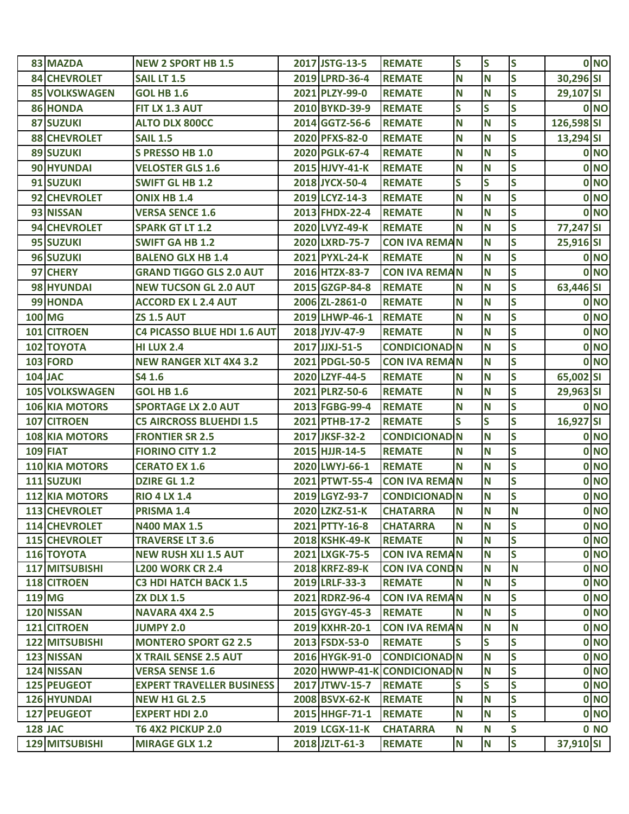| 83 MAZDA              | <b>NEW 2 SPORT HB 1.5</b>        | 2017 JSTG-13-5 | <b>REMATE</b>                | S            | S | S                       |            | 0 NO |
|-----------------------|----------------------------------|----------------|------------------------------|--------------|---|-------------------------|------------|------|
| <b>84 CHEVROLET</b>   | <b>SAIL LT 1.5</b>               | 2019 LPRD-36-4 | <b>REMATE</b>                | N            | N | S                       | 30,296 SI  |      |
| <b>85 VOLKSWAGEN</b>  | <b>GOL HB 1.6</b>                | 2021 PLZY-99-0 | <b>REMATE</b>                | N            | N | S                       | 29,107 SI  |      |
| 86 HONDA              | FIT LX 1.3 AUT                   | 2010 BYKD-39-9 | <b>REMATE</b>                | S            | S | S                       |            | 0 NO |
| <b>87 SUZUKI</b>      | <b>ALTO DLX 800CC</b>            | 2014 GGTZ-56-6 | <b>REMATE</b>                | N            | N | $\overline{\mathbf{S}}$ | 126,598 SI |      |
| <b>88 CHEVROLET</b>   | <b>SAIL 1.5</b>                  | 2020 PFXS-82-0 | <b>REMATE</b>                | N            | N | S                       | 13,294 SI  |      |
| 89 SUZUKI             | S PRESSO HB 1.0                  | 2020 PGLK-67-4 | <b>REMATE</b>                | N            | N | S                       |            | 0 NO |
| 90 HYUNDAI            | <b>VELOSTER GLS 1.6</b>          | 2015 HJVY-41-K | <b>REMATE</b>                | N            | N | S                       |            | 0 NO |
| 91 SUZUKI             | <b>SWIFT GL HB 1.2</b>           | 2018 JYCX-50-4 | <b>REMATE</b>                | S            | S | S                       |            | 0 NO |
| 92 CHEVROLET          | <b>ONIX HB 1.4</b>               | 2019 LCYZ-14-3 | <b>REMATE</b>                | N            | N | S                       |            | 0 NO |
| 93 NISSAN             | <b>VERSA SENCE 1.6</b>           | 2013 FHDX-22-4 | <b>REMATE</b>                | N            | N | S                       |            | 0 NO |
| 94 CHEVROLET          | <b>SPARK GT LT 1.2</b>           | 2020 LVYZ-49-K | <b>REMATE</b>                | N            | N | S                       | 77,247 SI  |      |
| 95 SUZUKI             | <b>SWIFT GA HB 1.2</b>           | 2020 LXRD-75-7 | <b>CON IVA REMAN</b>         |              | N | S                       | 25,916 SI  |      |
| 96 SUZUKI             | <b>BALENO GLX HB 1.4</b>         | 2021 PYXL-24-K | <b>REMATE</b>                | N            | N | S                       |            | 0 NO |
| 97 CHERY              | <b>GRAND TIGGO GLS 2.0 AUT</b>   | 2016 HTZX-83-7 | <b>CON IVA REMAN</b>         |              | N | S                       |            | 0 NO |
| 98 HYUNDAI            | <b>NEW TUCSON GL 2.0 AUT</b>     | 2015 GZGP-84-8 | <b>REMATE</b>                | N            | N | S                       | 63,446 SI  |      |
| 99 HONDA              | <b>ACCORD EX L 2.4 AUT</b>       | 2006 ZL-2861-0 | <b>REMATE</b>                | N            | N | S                       |            | 0 NO |
| <b>100 MG</b>         | <b>ZS 1.5 AUT</b>                | 2019 LHWP-46-1 | <b>REMATE</b>                | N            | N | S                       |            | 0 NO |
| 101 CITROEN           | C4 PICASSO BLUE HDI 1.6 AUT      | 2018 JYJV-47-9 | <b>REMATE</b>                | N            | N | S                       |            | 0 NO |
| <b>102 TOYOTA</b>     | <b>HI LUX 2.4</b>                | 2017 JJXJ-51-5 | <b>CONDICIONAD N</b>         |              | N | S                       |            | 0 NO |
| <b>103 FORD</b>       | <b>NEW RANGER XLT 4X4 3.2</b>    | 2021 PDGL-50-5 | <b>CON IVA REMAN</b>         |              | N | S                       |            | 0 NO |
| <b>104 JAC</b>        | S4 1.6                           | 2020 LZYF-44-5 | <b>REMATE</b>                | N            | N | S                       | 65,002 SI  |      |
| <b>105 VOLKSWAGEN</b> | <b>GOL HB 1.6</b>                | 2021 PLRZ-50-6 | <b>REMATE</b>                | N            | N | S                       | 29,963 SI  |      |
| <b>106 KIA MOTORS</b> | <b>SPORTAGE LX 2.0 AUT</b>       | 2013 FGBG-99-4 | <b>REMATE</b>                | N            | N | S                       |            | 0 NO |
| 107 CITROEN           | <b>C5 AIRCROSS BLUEHDI 1.5</b>   | 2021 PTHB-17-2 | <b>REMATE</b>                | $\mathsf{s}$ | S | S                       | 16,927 SI  |      |
| <b>108 KIA MOTORS</b> | <b>FRONTIER SR 2.5</b>           | 2017 JKSF-32-2 | <b>CONDICIONAD N</b>         |              | N | S                       |            | 0 NO |
| <b>109 FIAT</b>       | <b>FIORINO CITY 1.2</b>          | 2015 HJJR-14-5 | <b>REMATE</b>                | N            | N | S                       |            | 0 NO |
| <b>110 KIA MOTORS</b> | <b>CERATO EX 1.6</b>             | 2020 LWYJ-66-1 | <b>REMATE</b>                | N            | N | $\overline{\mathbf{S}}$ |            | 0 NO |
| 111 SUZUKI            | <b>DZIRE GL 1.2</b>              | 2021 PTWT-55-4 | <b>CON IVA REMAN</b>         |              | N | S                       |            | 0 NO |
| <b>112 KIA MOTORS</b> | <b>RIO 4 LX 1.4</b>              | 2019 LGYZ-93-7 | <b>CONDICIONAD N</b>         |              | N | S                       |            | 0 NO |
| <b>113 CHEVROLET</b>  | PRISMA 1.4                       | 2020 LZKZ-51-K | <b>CHATARRA</b>              | N            | N | N                       |            | 0 NO |
| <b>114 CHEVROLET</b>  | <b>N400 MAX 1.5</b>              | 2021 PTTY-16-8 | <b>CHATARRA</b>              | N            | N | S                       |            | 0 NO |
| <b>115 CHEVROLET</b>  | <b>TRAVERSE LT 3.6</b>           | 2018 KSHK-49-K | <b>REMATE</b>                | N            | N | $\overline{\mathsf{s}}$ |            | 0 NO |
| <b>116 TOYOTA</b>     | <b>NEW RUSH XLI 1.5 AUT</b>      | 2021 LXGK-75-5 | <b>CON IVA REMAN</b>         |              | N | S                       |            | 0 NO |
| 117 MITSUBISHI        | <b>L200 WORK CR 2.4</b>          | 2018 KRFZ-89-K | <b>CON IVA COND N</b>        |              | N | N                       |            | 0 NO |
| 118 CITROEN           | <b>C3 HDI HATCH BACK 1.5</b>     | 2019 LRLF-33-3 | <b>REMATE</b>                | N            | N | $\overline{\mathsf{s}}$ |            | 0 NO |
| <b>119 MG</b>         | <b>ZX DLX 1.5</b>                | 2021 RDRZ-96-4 | <b>CON IVA REMAN</b>         |              | N | S                       |            | 0 NO |
| 120 NISSAN            | <b>NAVARA 4X4 2.5</b>            | 2015 GYGY-45-3 | <b>REMATE</b>                | N            | N | $\overline{\mathsf{s}}$ |            | 0 NO |
| 121 CITROEN           | <b>JUMPY 2.0</b>                 | 2019 KXHR-20-1 | <b>CON IVA REMAN</b>         |              | N | N                       |            | 0 NO |
| <b>122 MITSUBISHI</b> | <b>MONTERO SPORT G2 2.5</b>      | 2013 FSDX-53-0 | <b>REMATE</b>                | S            | S | S                       |            | 0 NO |
| 123 NISSAN            | <b>X TRAIL SENSE 2.5 AUT</b>     | 2016 HYGK-91-0 | <b>CONDICIONAD N</b>         |              | N | $\overline{\mathsf{s}}$ |            | 0 NO |
| 124 NISSAN            | <b>VERSA SENSE 1.6</b>           |                | 2020 HWWP-41-K CONDICIONAD N |              | N | S                       |            | 0 NO |
| 125 PEUGEOT           | <b>EXPERT TRAVELLER BUSINESS</b> | 2017 JTWV-15-7 | <b>REMATE</b>                | S            | S | S                       |            | 0 NO |
| <b>126 HYUNDAI</b>    | <b>NEW H1 GL 2.5</b>             | 2008 BSVX-62-K | <b>REMATE</b>                | N            | N | $\overline{\mathsf{s}}$ |            | 0 NO |
| 127 PEUGEOT           | <b>EXPERT HDI 2.0</b>            | 2015 HHGF-71-1 | <b>REMATE</b>                | N            | N | S                       |            | 0 NO |
| <b>128 JAC</b>        | <b>T6 4X2 PICKUP 2.0</b>         | 2019 LCGX-11-K | <b>CHATARRA</b>              | N            | N | S                       |            | 0 NO |
| <b>129 MITSUBISHI</b> | <b>MIRAGE GLX 1.2</b>            | 2018 JZLT-61-3 | <b>REMATE</b>                | N            | N | S                       | 37,910 SI  |      |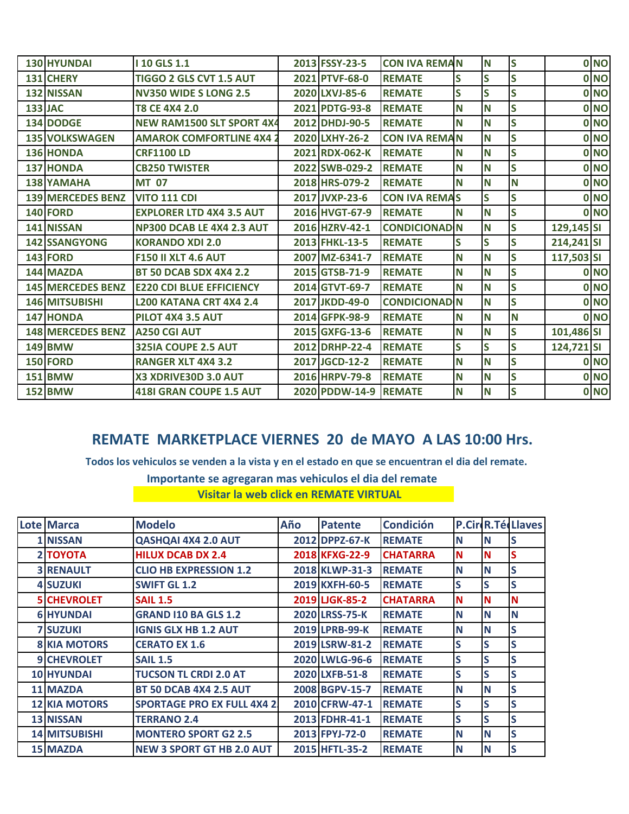| 130 HYUNDAI              | <b>10 GLS 1.1</b>               | 2013 FSSY-23-5 | <b>CON IVA REMAN</b> |   | N        | <b>S</b> |            | 0 NO |
|--------------------------|---------------------------------|----------------|----------------------|---|----------|----------|------------|------|
| 131 CHERY                | TIGGO 2 GLS CVT 1.5 AUT         | 2021 PTVF-68-0 | <b>REMATE</b>        | S | S        | S        |            | 0 NO |
| 132 NISSAN               | <b>NV350 WIDE S LONG 2.5</b>    | 2020 LXVJ-85-6 | <b>REMATE</b>        | S | S        | S        |            | 0 NO |
| <b>133 JAC</b>           | T8 CE 4X4 2.0                   | 2021 PDTG-93-8 | <b>REMATE</b>        | N | N        | S        |            | 0 NO |
| 134 DODGE                | NEW RAM1500 SLT SPORT 4X4       | 2012 DHDJ-90-5 | <b>REMATE</b>        | N | N        | S        |            | 0 NO |
| <b>135 VOLKSWAGEN</b>    | <b>AMAROK COMFORTLINE 4X4 2</b> | 2020 LXHY-26-2 | <b>CON IVA REMAN</b> |   | N        | <b>S</b> |            | 0 NO |
| 136 HONDA                | <b>CRF1100 LD</b>               | 2021 RDX-062-K | <b>REMATE</b>        | N | N        | S        |            | 0 NO |
| <b>137 HONDA</b>         | <b>CB250 TWISTER</b>            | 2022 SWB-029-2 | <b>REMATE</b>        | N | N        | S        |            | 0 NO |
| <b>138 YAMAHA</b>        | <b>MT 07</b>                    | 2018 HRS-079-2 | <b>REMATE</b>        | N | N        | N        |            | 0 NO |
| <b>139 MERCEDES BENZ</b> | <b>VITO 111 CDI</b>             | 2017 JVXP-23-6 | <b>CON IVA REMAS</b> |   | S        | <b>S</b> |            | 0 NO |
| <b>140 FORD</b>          | <b>EXPLORER LTD 4X4 3.5 AUT</b> | 2016 HVGT-67-9 | <b>REMATE</b>        | N | N        | S        |            | 0 NO |
| 141 NISSAN               | NP300 DCAB LE 4X4 2.3 AUT       | 2016 HZRV-42-1 | <b>CONDICIONAD N</b> |   | N        | S        | 129,145 SI |      |
| <b>142 SSANGYONG</b>     | <b>KORANDO XDI 2.0</b>          | 2013 FHKL-13-5 | <b>REMATE</b>        | S | S        | S        | 214,241 SI |      |
| <b>143 FORD</b>          | <b>F150 II XLT 4.6 AUT</b>      | 2007 MZ-6341-7 | <b>REMATE</b>        | N | N        | S        | 117,503 SI |      |
| 144 MAZDA                | <b>BT 50 DCAB SDX 4X4 2.2</b>   | 2015 GTSB-71-9 | <b>REMATE</b>        | N | N        | <b>S</b> |            | 0 NO |
| <b>145 MERCEDES BENZ</b> | <b>E220 CDI BLUE EFFICIENCY</b> | 2014 GTVT-69-7 | <b>REMATE</b>        | N | N        | S        |            | 0 NO |
| 146 MITSUBISHI           | L200 KATANA CRT 4X4 2.4         | 2017 JKDD-49-0 | <b>CONDICIONAD N</b> |   | N        | S        |            | 0 NO |
| 147 HONDA                | <b>PILOT 4X4 3.5 AUT</b>        | 2014 GFPK-98-9 | <b>REMATE</b>        | N | N        | <b>N</b> |            | 0 NO |
| <b>148 MERCEDES BENZ</b> | <b>A250 CGI AUT</b>             | 2015 GXFG-13-6 | <b>REMATE</b>        | N | <b>N</b> | S        | 101,486 SI |      |
| <b>149 BMW</b>           | 325IA COUPE 2.5 AUT             | 2012 DRHP-22-4 | <b>REMATE</b>        | S | S        | S        | 124,721 SI |      |
| <b>150 FORD</b>          | <b>RANGER XLT 4X4 3.2</b>       | 2017 JGCD-12-2 | <b>REMATE</b>        | N | <b>N</b> | S        |            | 0 NO |
| <b>151 BMW</b>           | X3 XDRIVE30D 3.0 AUT            | 2016 HRPV-79-8 | <b>REMATE</b>        | N | N        | S        |            | 0 NO |
| <b>152 BMW</b>           | <b>418I GRAN COUPE 1.5 AUT</b>  | 2020 PDDW-14-9 | <b>REMATE</b>        | N | N        | <b>S</b> |            | 0 NO |

## **REMATE MARKETPLACE VIERNES 20 de MAYO A LAS 10:00 Hrs.**

 **Todos los vehiculos se venden a la vista y en el estado en que se encuentran el dia del remate.**

 **Importante se agregaran mas vehiculos el dia del remate**

*Visitar la web click en REMATE VIRTUAL* 

| <b>Lote Marca</b>    | <b>Modelo</b>                      | Año | <b>Patente</b> | <b>Condición</b> |          |          | <b>P.CircR.TécLlaves</b> |
|----------------------|------------------------------------|-----|----------------|------------------|----------|----------|--------------------------|
| 1 NISSAN             | <b>QASHQAI 4X4 2.0 AUT</b>         |     | 2012 DPPZ-67-K | <b>REMATE</b>    | N        | N        | lS                       |
| 2 ΤΟΥΟΤΑ             | <b>HILUX DCAB DX 2.4</b>           |     | 2018 KFXG-22-9 | <b>CHATARRA</b>  | N        | N        | S                        |
| <b>3 RENAULT</b>     | <b>CLIO HB EXPRESSION 1.2</b>      |     | 2018 KLWP-31-3 | <b>REMATE</b>    | N        | N        | S                        |
| <b>4 SUZUKI</b>      | <b>SWIFT GL 1.2</b>                |     | 2019 KXFH-60-5 | <b>REMATE</b>    | S        | lS       | S                        |
| <b>5 CHEVROLET</b>   | <b>SAIL 1.5</b>                    |     | 2019 LJGK-85-2 | <b>CHATARRA</b>  | N        | N        | N                        |
| <b>6 HYUNDAI</b>     | <b>GRAND I10 BA GLS 1.2</b>        |     | 2020 LRSS-75-K | <b>REMATE</b>    | N        | N        | N                        |
| <b>7 SUZUKI</b>      | <b>IGNIS GLX HB 1.2 AUT</b>        |     | 2019 LPRB-99-K | <b>REMATE</b>    | N        | <b>N</b> | S                        |
| <b>8 KIA MOTORS</b>  | <b>CERATO EX 1.6</b>               |     | 2019 LSRW-81-2 | <b>REMATE</b>    | S        | S        | S                        |
| 9 CHEVROLET          | <b>SAIL 1.5</b>                    |     | 2020 LWLG-96-6 | <b>REMATE</b>    | S        | S        | S                        |
| <b>10 HYUNDAI</b>    | <b>TUCSON TL CRDI 2.0 AT</b>       |     | 2020 LXFB-51-8 | <b>REMATE</b>    | S        | S        | S                        |
| <b>11 MAZDA</b>      | <b>BT 50 DCAB 4X4 2.5 AUT</b>      |     | 2008 BGPV-15-7 | <b>REMATE</b>    | <b>N</b> | N        | S                        |
| <b>12 KIA MOTORS</b> | <b>SPORTAGE PRO EX FULL 4X4 2.</b> |     | 2010 CFRW-47-1 | <b>REMATE</b>    | S        | S        | S                        |
| <b>13 NISSAN</b>     | <b>TERRANO 2.4</b>                 |     | 2013 FDHR-41-1 | <b>REMATE</b>    | S        | S        | S                        |
| <b>14 MITSUBISHI</b> | <b>MONTERO SPORT G2 2.5</b>        |     | 2013 FPYJ-72-0 | <b>REMATE</b>    | <b>N</b> | N        | S                        |
| <b>15 MAZDA</b>      | <b>NEW 3 SPORT GT HB 2.0 AUT</b>   |     | 2015 HFTL-35-2 | <b>REMATE</b>    | <b>N</b> | <b>N</b> | S                        |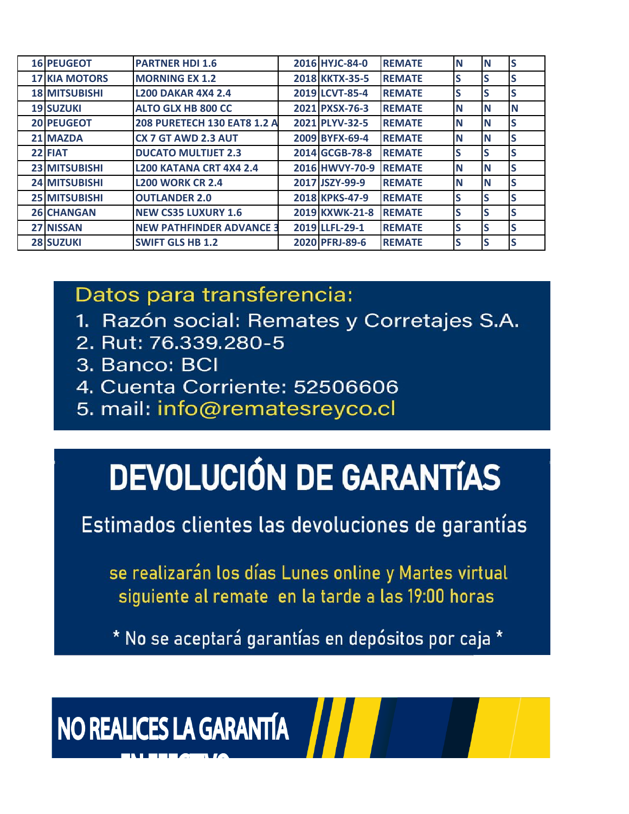| <b>16 PEUGEOT</b>    | <b>PARTNER HDI 1.6</b>          | 2016 HYJC-84-0 | <b>REMATE</b> | IN       | N  |   |
|----------------------|---------------------------------|----------------|---------------|----------|----|---|
| <b>17 KIA MOTORS</b> | <b>MORNING EX 1.2</b>           | 2018 KKTX-35-5 | <b>REMATE</b> | lS       | lS |   |
| <b>18 MITSUBISHI</b> | <b>L200 DAKAR 4X4 2.4</b>       | 2019 LCVT-85-4 | <b>REMATE</b> | S        | S  |   |
| <b>19 SUZUKI</b>     | <b>ALTO GLX HB 800 CC</b>       | 2021 PXSX-76-3 | <b>REMATE</b> | <b>N</b> | N  | N |
| <b>20 PEUGEOT</b>    | 208 PURETECH 130 EAT8 1.2 A     | 2021 PLYV-32-5 | <b>REMATE</b> | IN       | N  | S |
| 21 MAZDA             | CX 7 GT AWD 2.3 AUT             | 2009 BYFX-69-4 | <b>REMATE</b> | IN       | N  | S |
| 22 FIAT              | <b>DUCATO MULTIJET 2.3</b>      | 2014 GCGB-78-8 | <b>REMATE</b> | S        | lS |   |
| <b>23 MITSUBISHI</b> | <b>L200 KATANA CRT 4X4 2.4</b>  | 2016 HWVY-70-9 | <b>REMATE</b> | <b>N</b> | N  |   |
| <b>24 MITSUBISHI</b> | <b>L200 WORK CR 2.4</b>         | 2017 JSZY-99-9 | <b>REMATE</b> | IN       | N  | S |
| <b>25 MITSUBISHI</b> | <b>OUTLANDER 2.0</b>            | 2018 KPKS-47-9 | <b>REMATE</b> | S        | lS |   |
| <b>26 CHANGAN</b>    | <b>NEW CS35 LUXURY 1.6</b>      | 2019 KXWK-21-8 | <b>REMATE</b> | S        | lS |   |
| <b>27 NISSAN</b>     | <b>NEW PATHFINDER ADVANCE 3</b> | 2019 LLFL-29-1 | <b>REMATE</b> | S        | lS |   |
| <b>28 SUZUKI</b>     | <b>SWIFT GLS HB 1.2</b>         | 2020 PFRJ-89-6 | <b>REMATE</b> | lS       | lS |   |

Datos para transferencia:

- 1. Razón social: Remates y Corretajes S.A.
- 2. Rut: 76.339.280-5
- 3. Banco: BCI
- 4. Cuenta Corriente: 52506606
- 5. mail: info@rematesreyco.cl

## **DEVOLUCIÓN DE GARANTÍAS**

Estimados clientes las devoluciones de garantías

se realizarán los días Lunes online y Martes virtual siguiente al remate en la tarde a las 19:00 horas

\* No se aceptará garantías en depósitos por caja \*

NO REALICES LA GARANTÍA